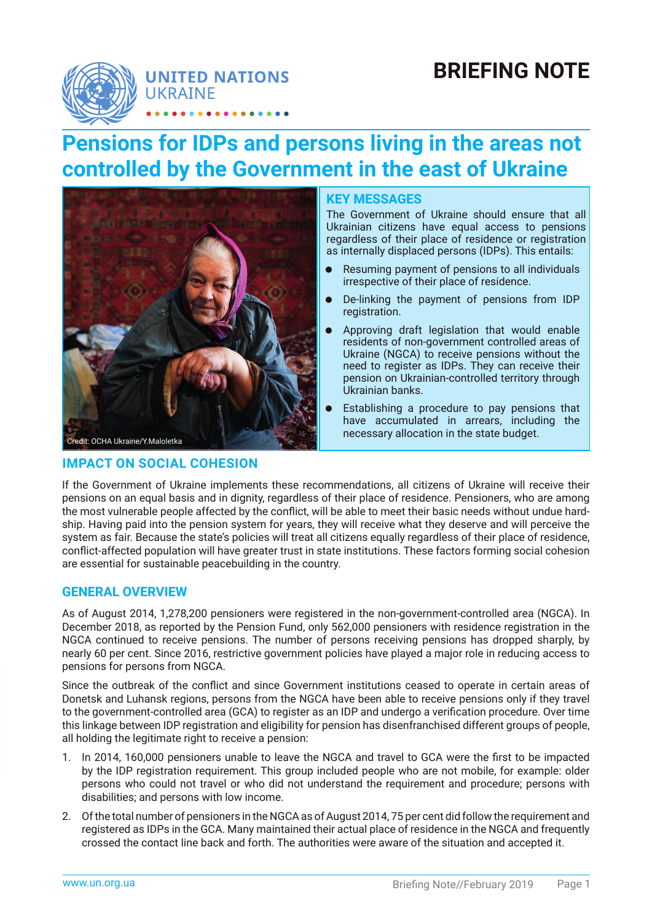# **BRIEFING NOTE**



# **Pensions for IDPs and persons living in the areas not controlled by the Government in the east of Ukraine**



## **IMPACT ON SOCIAL COHESION**

#### **KEY MESSAGES**

The Government of Ukraine should ensure that all Ukrainian citizens have equal access to pensions regardless of their place of residence or registration as internally displaced persons (IDPs). This entails:

- Resuming payment of pensions to all individuals irrespective of their place of residence.
- De-linking the payment of pensions from IDP registration.
- Approving draft legislation that would enable residents of non-government controlled areas of Ukraine (NGCA) to receive pensions without the need to register as IDPs. They can receive their pension on Ukrainian-controlled territory through Ukrainian banks.
- Establishing a procedure to pay pensions that have accumulated in arrears, including the necessary allocation in the state budget.

If the Government of Ukraine implements these recommendations, all citizens of Ukraine will receive their pensions on an equal basis and in dignity, regardless of their place of residence. Pensioners, who are among the most vulnerable people affected by the conflict, will be able to meet their basic needs without undue hardship. Having paid into the pension system for years, they will receive what they deserve and will perceive the system as fair. Because the state's policies will treat all citizens equally regardless of their place of residence, conflict-affected population will have greater trust in state institutions. These factors forming social cohesion are essential for sustainable peacebuilding in the country.

## **GENERAL OVERVIEW**

As of August 2014, 1,278,200 pensioners were registered in the non-government-controlled area (NGCA). In December 2018, as reported by the Pension Fund, only 562,000 pensioners with residence registration in the NGCA continued to receive pensions. The number of persons receiving pensions has dropped sharply, by nearly 60 per cent. Since 2016, restrictive government policies have played a major role in reducing access to pensions for persons from NGCA.

Since the outbreak of the conflict and since Government institutions ceased to operate in certain areas of Donetsk and Luhansk regions, persons from the NGCA have been able to receive pensions only if they travel to the government-controlled area (GCA) to register as an IDP and undergo a verification procedure. Over time this linkage between IDP registration and eligibility for pension has disenfranchised different groups of people, all holding the legitimate right to receive a pension:

- 1. In 2014, 160,000 pensioners unable to leave the NGCA and travel to GCA were the first to be impacted by the IDP registration requirement. This group included people who are not mobile, for example: older persons who could not travel or who did not understand the requirement and procedure; persons with disabilities; and persons with low income.
- 2. Of the total number of pensioners in the NGCA as of August 2014, 75 per cent did follow the requirement and registered as IDPs in the GCA. Many maintained their actual place of residence in the NGCA and frequently crossed the contact line back and forth. The authorities were aware of the situation and accepted it.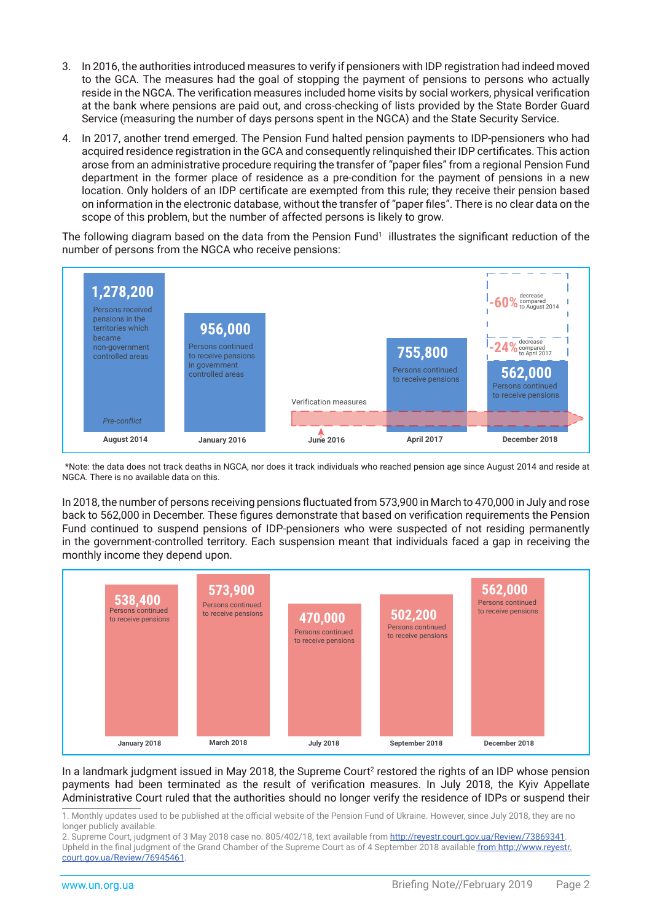- 3. In 2016, the authorities introduced measures to verify if pensioners with IDP registration had indeed moved to the GCA. The measures had the goal of stopping the payment of pensions to persons who actually reside in the NGCA. The verification measures included home visits by social workers, physical verification at the bank where pensions are paid out, and cross-checking of lists provided by the State Border Guard Service (measuring the number of days persons spent in the NGCA) and the State Security Service.
- 4. In 2017, another trend emerged. The Pension Fund halted pension payments to IDP-pensioners who had acquired residence registration in the GCA and consequently relinquished their IDP certificates. This action arose from an administrative procedure requiring the transfer of "paper files" from a regional Pension Fund department in the former place of residence as a pre-condition for the payment of pensions in a new location. Only holders of an IDP certificate are exempted from this rule; they receive their pension based on information in the electronic database, without the transfer of "paper files". There is no clear data on the scope of this problem, but the number of affected persons is likely to grow.

The following diagram based on the data from the Pension Fund $^1$  illustrates the significant reduction of the number of persons from the NGCA who receive pensions:



<sup>\*</sup>Note: the data does not track deaths in NGCA, nor does it track individuals who reached pension age since August 2014 and reside at NGCA. There is no available data on this.

In 2018, the number of persons receiving pensions fluctuated from 573,900 in March to 470,000 in July and rose back to 562,000 in December. These figures demonstrate that based on verification requirements the Pension Fund continued to suspend pensions of IDP-pensioners who were suspected of not residing permanently in the government-controlled territory. Each suspension meant that individuals faced a gap in receiving the monthly income they depend upon.



In a landmark judgment issued in May 2018, the Supreme Court $^2$  restored the rights of an IDP whose pension payments had been terminated as the result of verification measures. In July 2018, the Kyiv Appellate Administrative Court ruled that the authorities should no longer verify the residence of IDPs or suspend their

<sup>1.</sup> Monthly updates used to be published at the official website of the Pension Fund of Ukraine. However, since July 2018, they are no longer publicly available.

<sup>2.</sup> Supreme Court, judgment of 3 May 2018 case no. 805/402/18, text available from<http://reyestr.court.gov.ua/Review/73869341>.

Upheld in the final judgment of the Grand Chamber of the Supreme Court as of 4 September 2018 available fro[m http://www.reyestr.]( http://www.reyestr.court.gov.ua/Review/76945461) [court.gov.ua/Review/76945461]( http://www.reyestr.court.gov.ua/Review/76945461).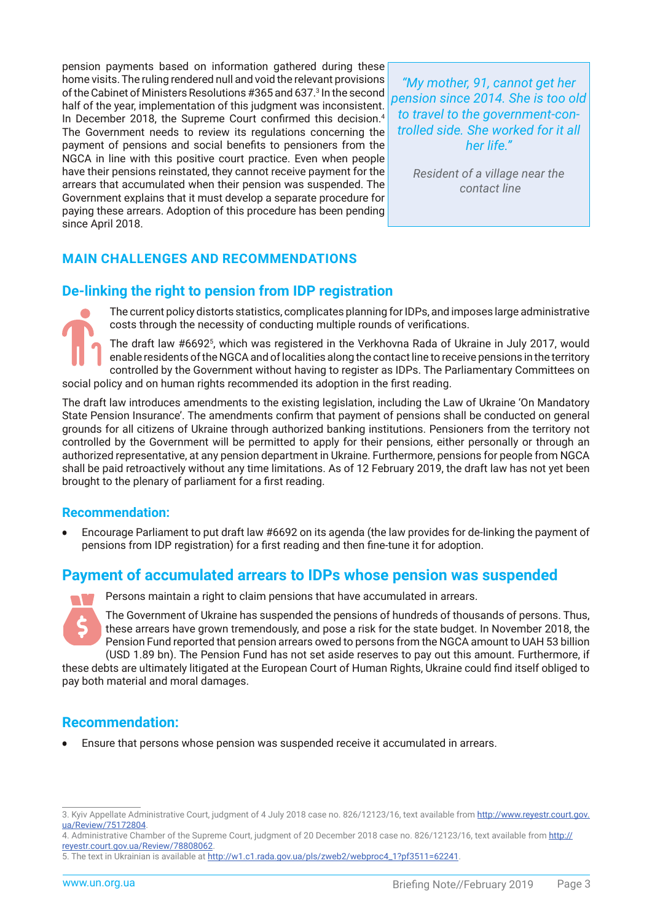pension payments based on information gathered during these home visits. The ruling rendered null and void the relevant provisions of the Cabinet of Ministers Resolutions #365 and 637.<sup>3</sup> In the second half of the year, implementation of this judgment was inconsistent. In December 2018, the Supreme Court confirmed this decision.<sup>4</sup> The Government needs to review its regulations concerning the payment of pensions and social benefits to pensioners from the NGCA in line with this positive court practice. Even when people have their pensions reinstated, they cannot receive payment for the arrears that accumulated when their pension was suspended. The Government explains that it must develop a separate procedure for paying these arrears. Adoption of this procedure has been pending since April 2018.

*"My mother, 91, cannot get her pension since 2014. She is too old to travel to the government-controlled side. She worked for it all her life."*

> *Resident of a village near the contact line*

## **MAIN CHALLENGES AND RECOMMENDATIONS**

## **De-linking the right to pension from IDP registration**

The current policy distorts statistics, complicates planning for IDPs, and imposes large administrative costs through the necessity of conducting multiple rounds of verifications.

The draft law #6692<sup>5</sup> , which was registered in the Verkhovna Rada of Ukraine in July 2017, would enable residents of the NGCA and of localities along the contact line to receive pensions in the territory controlled by the Government without having to register as IDPs. The Parliamentary Committees on social policy and on human rights recommended its adoption in the first reading.

The draft law introduces amendments to the existing legislation, including the Law of Ukraine 'On Mandatory State Pension Insurance'. The amendments confirm that payment of pensions shall be conducted on general grounds for all citizens of Ukraine through authorized banking institutions. Pensioners from the territory not controlled by the Government will be permitted to apply for their pensions, either personally or through an authorized representative, at any pension department in Ukraine. Furthermore, pensions for people from NGCA shall be paid retroactively without any time limitations. As of 12 February 2019, the draft law has not yet been brought to the plenary of parliament for a first reading.

## **Recommendation:**

• Encourage Parliament to put draft law #6692 on its agenda (the law provides for de-linking the payment of pensions from IDP registration) for a first reading and then fine-tune it for adoption.

## **Payment of accumulated arrears to IDPs whose pension was suspended**



Persons maintain a right to claim pensions that have accumulated in arrears.

The Government of Ukraine has suspended the pensions of hundreds of thousands of persons. Thus, these arrears have grown tremendously, and pose a risk for the state budget. In November 2018, the Pension Fund reported that pension arrears owed to persons from the NGCA amount to UAH 53 billion (USD 1.89 bn). The Pension Fund has not set aside reserves to pay out this amount. Furthermore, if

these debts are ultimately litigated at the European Court of Human Rights, Ukraine could find itself obliged to pay both material and moral damages.

## **Recommendation:**

• Ensure that persons whose pension was suspended receive it accumulated in arrears.

<sup>3.</sup> Kyiv Appellate Administrative Court, judgment of 4 July 2018 case no. 826/12123/16, text available from [http://www.reyestr.court.gov.](http://www.reyestr.court.gov.ua/Review/75172804) [ua/Review/75172804](http://www.reyestr.court.gov.ua/Review/75172804).

<sup>4.</sup> Administrative Chamber of the Supreme Court, judgment of 20 December 2018 case no. 826/12123/16, text available from [http://](http://reyestr.court.gov.ua/Review/78808062) [reyestr.court.gov.ua/Review/78808062](http://reyestr.court.gov.ua/Review/78808062).

<sup>5.</sup> The text in Ukrainian is available at [http://w1.c1.rada.gov.ua/pls/zweb2/webproc4\\_1?pf3511=62241](http://w1.c1.rada.gov.ua/pls/zweb2/webproc4_1?pf3511=62241).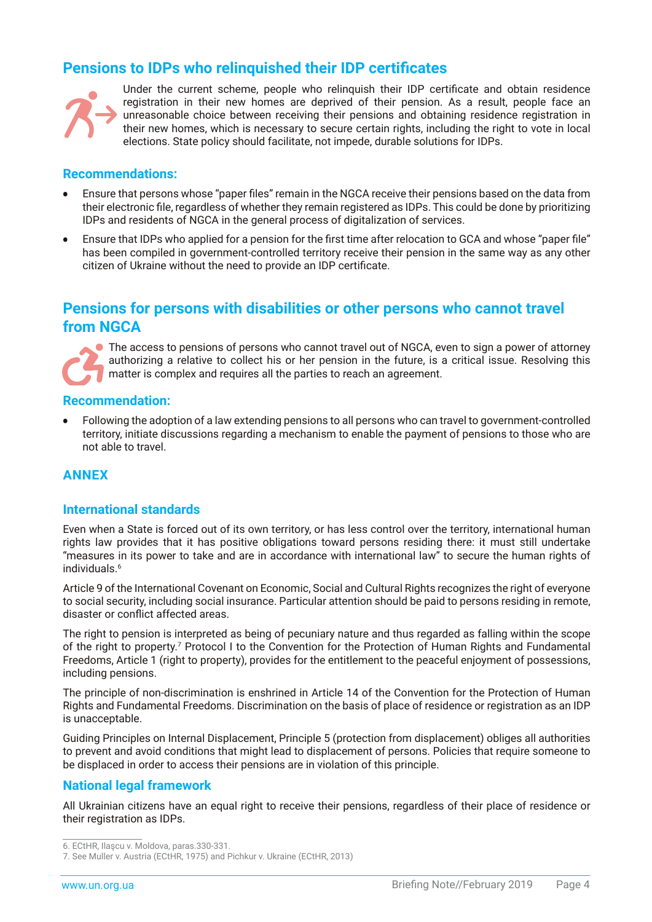# **Pensions to IDPs who relinquished their IDP certificates**



Under the current scheme, people who relinquish their IDP certificate and obtain residence registration in their new homes are deprived of their pension. As a result, people face an unreasonable choice between receiving their pensions and obtaining residence registration in their new homes, which is necessary to secure certain rights, including the right to vote in local elections. State policy should facilitate, not impede, durable solutions for IDPs.

#### **Recommendations:**

- Ensure that persons whose "paper files" remain in the NGCA receive their pensions based on the data from their electronic file, regardless of whether they remain registered as IDPs. This could be done by prioritizing IDPs and residents of NGCA in the general process of digitalization of services.
- Ensure that IDPs who applied for a pension for the first time after relocation to GCA and whose "paper file" has been compiled in government-controlled territory receive their pension in the same way as any other citizen of Ukraine without the need to provide an IDP certificate.

# **Pensions for persons with disabilities or other persons who cannot travel from NGCA**

**The access to pensions of persons who cannot travel out of NGCA, even to sign a power of attorney** authorizing a relative to collect his or her pension in the future, is a critical issue. Resolving this matter is complex and requires all the parties to reach an agreement.

#### **Recommendation:**

• Following the adoption of a law extending pensions to all persons who can travel to government-controlled territory, initiate discussions regarding a mechanism to enable the payment of pensions to those who are not able to travel.

## **ANNEX**

## **International standards**

Even when a State is forced out of its own territory, or has less control over the territory, international human rights law provides that it has positive obligations toward persons residing there: it must still undertake "measures in its power to take and are in accordance with international law" to secure the human rights of individuals.<sup>6</sup>

Article 9 of the International Covenant on Economic, Social and Cultural Rights recognizes the right of everyone to social security, including social insurance. Particular attention should be paid to persons residing in remote, disaster or conflict affected areas.

The right to pension is interpreted as being of pecuniary nature and thus regarded as falling within the scope of the right to property.<sup>7</sup> Protocol I to the Convention for the Protection of Human Rights and Fundamental Freedoms, Article 1 (right to property), provides for the entitlement to the peaceful enjoyment of possessions, including pensions.

The principle of non-discrimination is enshrined in Article 14 of the Convention for the Protection of Human Rights and Fundamental Freedoms. Discrimination on the basis of place of residence or registration as an IDP is unacceptable.

Guiding Principles on Internal Displacement, Principle 5 (protection from displacement) obliges all authorities to prevent and avoid conditions that might lead to displacement of persons. Policies that require someone to be displaced in order to access their pensions are in violation of this principle.

## **National legal framework**

All Ukrainian citizens have an equal right to receive their pensions, regardless of their place of residence or their registration as IDPs.

<sup>6.</sup> ECtHR, Ilaşcu v. Moldova, paras.330-331.

<sup>7.</sup> See Muller v. Austria (ECtHR, 1975) and Pichkur v. Ukraine (ECtHR, 2013)